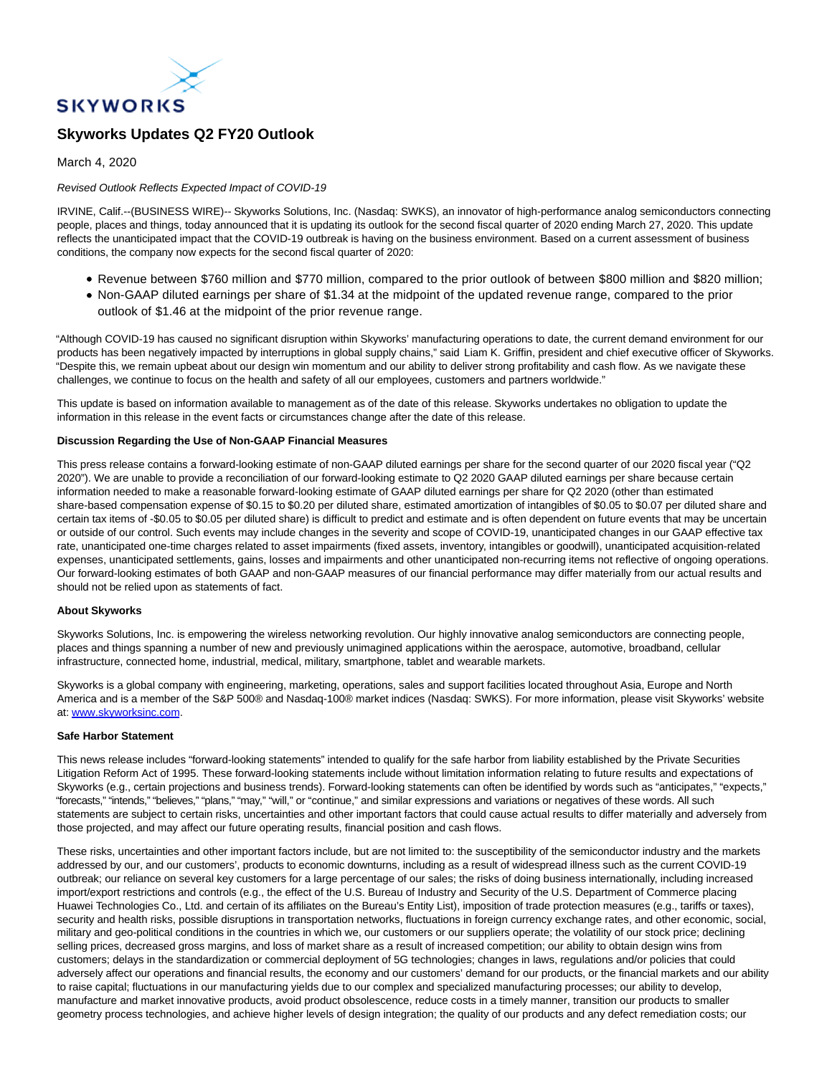

# **Skyworks Updates Q2 FY20 Outlook**

## March 4, 2020

## Revised Outlook Reflects Expected Impact of COVID-19

IRVINE, Calif.--(BUSINESS WIRE)-- Skyworks Solutions, Inc. (Nasdaq: SWKS), an innovator of high-performance analog semiconductors connecting people, places and things, today announced that it is updating its outlook for the second fiscal quarter of 2020 ending March 27, 2020. This update reflects the unanticipated impact that the COVID-19 outbreak is having on the business environment. Based on a current assessment of business conditions, the company now expects for the second fiscal quarter of 2020:

- Revenue between \$760 million and \$770 million, compared to the prior outlook of between \$800 million and \$820 million;
- Non-GAAP diluted earnings per share of \$1.34 at the midpoint of the updated revenue range, compared to the prior outlook of \$1.46 at the midpoint of the prior revenue range.

"Although COVID-19 has caused no significant disruption within Skyworks' manufacturing operations to date, the current demand environment for our products has been negatively impacted by interruptions in global supply chains," said Liam K. Griffin, president and chief executive officer of Skyworks. "Despite this, we remain upbeat about our design win momentum and our ability to deliver strong profitability and cash flow. As we navigate these challenges, we continue to focus on the health and safety of all our employees, customers and partners worldwide."

This update is based on information available to management as of the date of this release. Skyworks undertakes no obligation to update the information in this release in the event facts or circumstances change after the date of this release.

#### **Discussion Regarding the Use of Non-GAAP Financial Measures**

This press release contains a forward-looking estimate of non-GAAP diluted earnings per share for the second quarter of our 2020 fiscal year ("Q2 2020"). We are unable to provide a reconciliation of our forward-looking estimate to Q2 2020 GAAP diluted earnings per share because certain information needed to make a reasonable forward-looking estimate of GAAP diluted earnings per share for Q2 2020 (other than estimated share-based compensation expense of \$0.15 to \$0.20 per diluted share, estimated amortization of intangibles of \$0.05 to \$0.07 per diluted share and certain tax items of -\$0.05 to \$0.05 per diluted share) is difficult to predict and estimate and is often dependent on future events that may be uncertain or outside of our control. Such events may include changes in the severity and scope of COVID-19, unanticipated changes in our GAAP effective tax rate, unanticipated one-time charges related to asset impairments (fixed assets, inventory, intangibles or goodwill), unanticipated acquisition-related expenses, unanticipated settlements, gains, losses and impairments and other unanticipated non-recurring items not reflective of ongoing operations. Our forward-looking estimates of both GAAP and non-GAAP measures of our financial performance may differ materially from our actual results and should not be relied upon as statements of fact.

#### **About Skyworks**

Skyworks Solutions, Inc. is empowering the wireless networking revolution. Our highly innovative analog semiconductors are connecting people, places and things spanning a number of new and previously unimagined applications within the aerospace, automotive, broadband, cellular infrastructure, connected home, industrial, medical, military, smartphone, tablet and wearable markets.

Skyworks is a global company with engineering, marketing, operations, sales and support facilities located throughout Asia, Europe and North America and is a member of the S&P 500® and Nasdaq-100® market indices (Nasdaq: SWKS). For more information, please visit Skyworks' website at: [www.skyworksinc.com.](https://cts.businesswire.com/ct/CT?id=smartlink&url=http%3A%2F%2Fwww.skyworksinc.com&esheet=52183738&newsitemid=20200304005221&lan=en-US&anchor=www.skyworksinc.com&index=1&md5=e909e083ef1e3463b3fd35c38cac0b76)

#### **Safe Harbor Statement**

This news release includes "forward-looking statements" intended to qualify for the safe harbor from liability established by the Private Securities Litigation Reform Act of 1995. These forward-looking statements include without limitation information relating to future results and expectations of Skyworks (e.g., certain projections and business trends). Forward-looking statements can often be identified by words such as "anticipates," "expects," "forecasts," "intends," "believes," "plans," "may," "will," or "continue," and similar expressions and variations or negatives of these words. All such statements are subject to certain risks, uncertainties and other important factors that could cause actual results to differ materially and adversely from those projected, and may affect our future operating results, financial position and cash flows.

These risks, uncertainties and other important factors include, but are not limited to: the susceptibility of the semiconductor industry and the markets addressed by our, and our customers', products to economic downturns, including as a result of widespread illness such as the current COVID-19 outbreak; our reliance on several key customers for a large percentage of our sales; the risks of doing business internationally, including increased import/export restrictions and controls (e.g., the effect of the U.S. Bureau of Industry and Security of the U.S. Department of Commerce placing Huawei Technologies Co., Ltd. and certain of its affiliates on the Bureau's Entity List), imposition of trade protection measures (e.g., tariffs or taxes), security and health risks, possible disruptions in transportation networks, fluctuations in foreign currency exchange rates, and other economic, social, military and geo-political conditions in the countries in which we, our customers or our suppliers operate; the volatility of our stock price; declining selling prices, decreased gross margins, and loss of market share as a result of increased competition; our ability to obtain design wins from customers; delays in the standardization or commercial deployment of 5G technologies; changes in laws, regulations and/or policies that could adversely affect our operations and financial results, the economy and our customers' demand for our products, or the financial markets and our ability to raise capital; fluctuations in our manufacturing yields due to our complex and specialized manufacturing processes; our ability to develop, manufacture and market innovative products, avoid product obsolescence, reduce costs in a timely manner, transition our products to smaller geometry process technologies, and achieve higher levels of design integration; the quality of our products and any defect remediation costs; our